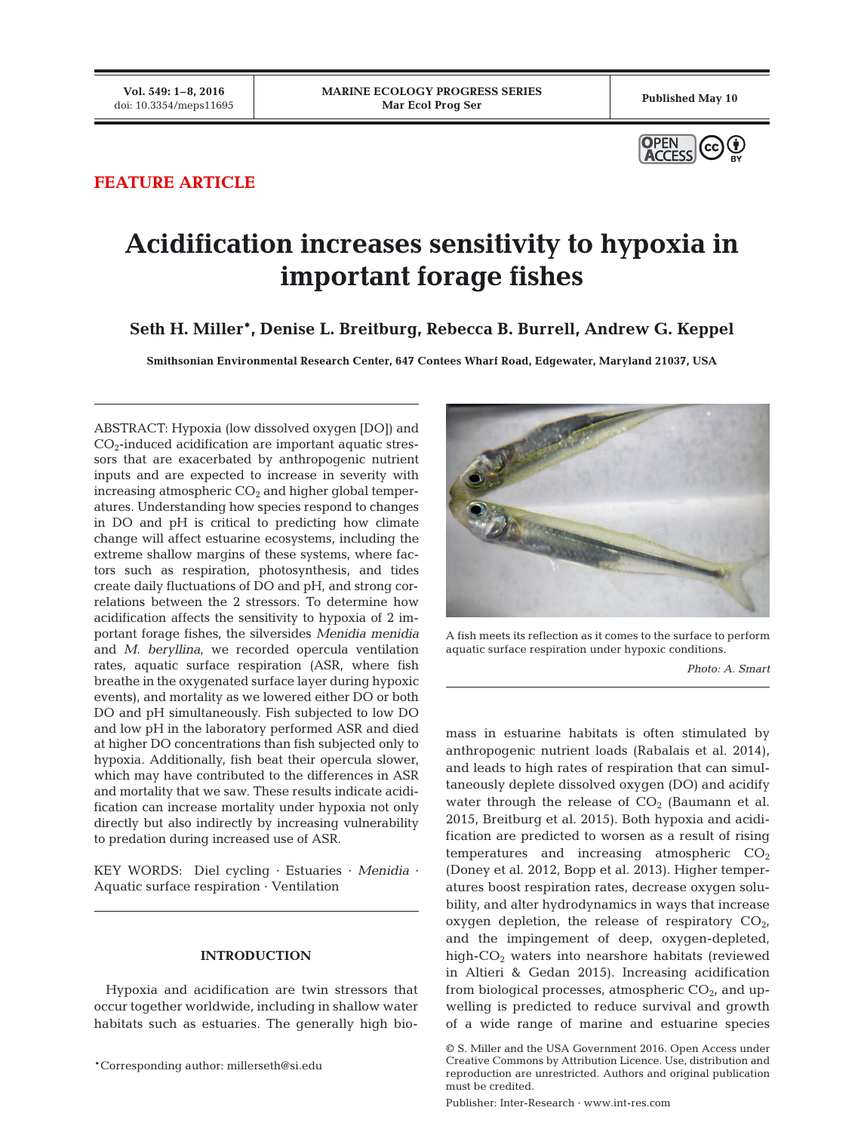

## **FEATURE ARTICLE**

# **Acidification increases sensitivity to hypoxia in important forage fishes**

**Seth H. Miller\*, Denise L. Breitburg, Rebecca B. Burrell, Andrew G. Keppel**

**Smithsonian Environmental Research Center, 647 Contees Wharf Road, Edgewater, Maryland 21037, USA**

ABSTRACT: Hypoxia (low dissolved oxygen [DO]) and  $CO<sub>2</sub>$ -induced acidification are important aquatic stressors that are exacerbated by anthropogenic nutrient inputs and are expected to increase in severity with increasing atmospheric  $CO<sub>2</sub>$  and higher global temperatures. Understanding how species respond to changes in DO and pH is critical to predicting how climate change will affect estuarine ecosystems, including the extreme shallow margins of these systems, where factors such as respiration, photosynthesis, and tides create daily fluctuations of DO and pH, and strong correlations between the 2 stressors. To determine how acidification affects the sensitivity to hypoxia of 2 im portant forage fishes, the silversides *Menidia menidia* and *M. beryllina*, we recorded opercula ventilation rates, aquatic surface respiration (ASR, where fish breathe in the oxygenated surface layer during hypoxic events), and mortality as we lowered either DO or both DO and pH simultaneously. Fish subjected to low DO and low pH in the laboratory performed ASR and died at higher DO concentrations than fish subjected only to hypoxia. Additionally, fish beat their opercula slower, which may have contributed to the differences in ASR and mortality that we saw. These results indicate acidification can increase mortality under hypoxia not only directly but also indirectly by increasing vulnerability to predation during increased use of ASR.

KEY WORDS: Diel cycling · Estuaries · *Menidia* · Aquatic surface respiration · Ventilation

## **INTRODUCTION**

Hypoxia and acidification are twin stressors that occur together worldwide, including in shallow water habitats such as estuaries. The generally high bio-



A fish meets its reflection as it comes to the surface to perform aquatic surface respiration under hypoxic conditions.

*Photo: A. Smart*

mass in estuarine habitats is often stimulated by anthropogenic nutrient loads (Rabalais et al. 2014), and leads to high rates of respiration that can simultaneously deplete dissolved oxygen (DO) and acidify water through the release of  $CO<sub>2</sub>$  (Baumann et al. 2015, Breitburg et al. 2015). Both hypoxia and acidification are predicted to worsen as a result of rising temperatures and increasing atmospheric  $CO<sub>2</sub>$ (Doney et al. 2012, Bopp et al. 2013). Higher temperatures boost respiration rates, decrease oxygen solubility, and alter hydrodynamics in ways that increase oxygen depletion, the release of respiratory  $CO<sub>2</sub>$ , and the impingement of deep, oxygen-depleted, high- $CO<sub>2</sub>$  waters into nearshore habitats (reviewed in Altieri & Gedan 2015). Increasing acidification from biological processes, atmospheric  $CO<sub>2</sub>$ , and upwelling is predicted to reduce survival and growth of a wide range of marine and estuarine species

Publisher: Inter-Research · www.int-res.com

<sup>\*</sup>Corresponding author: millerseth@si.edu

<sup>©</sup> S. Miller and the USA Government 2016. Open Access under Creative Commons by Attribution Licence. Use, distribution and reproduction are un restricted. Authors and original publication must be credited.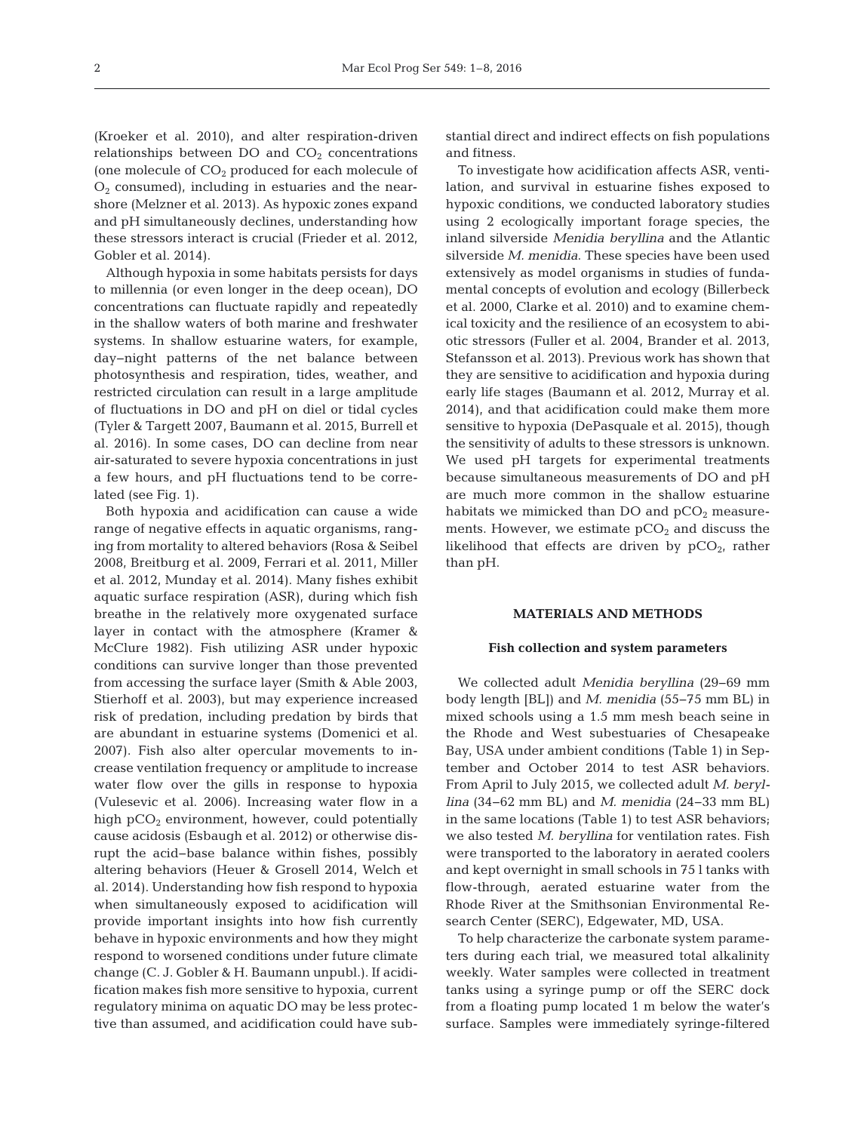(Kroeker et al. 2010), and alter respiration-driven relationships between DO and  $CO<sub>2</sub>$  concentrations (one molecule of  $CO<sub>2</sub>$  produced for each molecule of  $O<sub>2</sub>$  consumed), including in estuaries and the nearshore (Melzner et al. 2013). As hypoxic zones expand and pH simultaneously declines, understanding how these stressors interact is crucial (Frieder et al. 2012, Gobler et al. 2014).

Although hypoxia in some habitats persists for days to millennia (or even longer in the deep ocean), DO concentrations can fluctuate rapidly and repeatedly in the shallow waters of both marine and freshwater systems. In shallow estuarine waters, for example, day− night patterns of the net balance between photo synthesis and respiration, tides, weather, and restricted circulation can result in a large amplitude of fluctuations in DO and pH on diel or tidal cycles (Tyler & Targett 2007, Baumann et al. 2015, Burrell et al. 2016). In some cases, DO can decline from near air-saturated to severe hypoxia concentrations in just a few hours, and pH fluctuations tend to be correlated (see Fig. 1).

Both hypoxia and acidification can cause a wide range of negative effects in aquatic organisms, ranging from mortality to altered behaviors (Rosa & Seibel 2008, Breitburg et al. 2009, Ferrari et al. 2011, Miller et al. 2012, Munday et al. 2014). Many fishes exhibit aquatic surface respiration (ASR), during which fish breathe in the relatively more oxygenated surface layer in contact with the atmosphere (Kramer & McClure 1982). Fish utilizing ASR under hypoxic conditions can survive longer than those prevented from accessing the surface layer (Smith & Able 2003, Stierhoff et al. 2003), but may experience increased risk of predation, including predation by birds that are abundant in estuarine systems (Domenici et al. 2007). Fish also alter opercular movements to increase ventilation frequency or amplitude to increase water flow over the gills in response to hypoxia (Vulesevic et al. 2006). Increasing water flow in a high  $pCO<sub>2</sub>$  environment, however, could potentially cause acidosis (Esbaugh et al. 2012) or otherwise disrupt the acid− base balance within fishes, possibly altering behaviors (Heuer & Grosell 2014, Welch et al. 2014). Understanding how fish respond to hypoxia when simultaneously exposed to acidification will provide im portant insights into how fish currently behave in hypoxic environments and how they might respond to worsened conditions under future climate change (C. J. Gobler & H. Baumann unpubl.). If acidification makes fish more sensitive to hypoxia, current regulatory minima on aquatic DO may be less protective than assumed, and acidification could have substantial direct and indirect effects on fish populations and fitness.

To investigate how acidification affects ASR, ventilation, and survival in estuarine fishes exposed to hypoxic conditions, we conducted laboratory studies using 2 ecologically important forage species, the inland silverside *Menidia beryllina* and the Atlantic silverside *M. menidia*. These species have been used extensively as model organisms in studies of fundamental concepts of evolution and ecology (Billerbeck et al. 2000, Clarke et al. 2010) and to examine chemical toxicity and the resilience of an ecosystem to abiotic stressors (Fuller et al. 2004, Brander et al. 2013, Stefansson et al. 2013). Previous work has shown that they are sensitive to acidification and hypoxia during early life stages (Baumann et al. 2012, Murray et al. 2014), and that acidification could make them more sensitive to hypoxia (DePasquale et al. 2015), though the sensitivity of adults to these stressors is unknown. We used pH targets for experimental treatments because simultaneous measurements of DO and pH are much more common in the shallow estuarine habitats we mimicked than DO and  $pCO<sub>2</sub>$  measurements. However, we estimate  $pCO<sub>2</sub>$  and discuss the likelihood that effects are driven by  $pCO<sub>2</sub>$ , rather than pH.

## **MATERIALS AND METHODS**

## **Fish collection and system parameters**

We collected adult *Menidia beryllina* (29−69 mm body length [BL]) and *M. menidia* (55−75 mm BL) in mixed schools using a 1.5 mm mesh beach seine in the Rhode and West subestuaries of Chesapeake Bay, USA under ambient conditions (Table 1) in September and October 2014 to test ASR behaviors. From April to July 2015, we collected adult *M. beryllina* (34−62 mm BL) and *M. menidia* (24−33 mm BL) in the same locations (Table 1) to test ASR behaviors; we also tested *M. beryllina* for ventilation rates. Fish were transported to the laboratory in aerated coolers and kept overnight in small schools in 75 l tanks with flow-through, aerated estuarine water from the Rhode River at the Smithsonian Environmental Re search Center (SERC), Edgewater, MD, USA.

To help characterize the carbonate system parameters during each trial, we measured total alkalinity weekly. Water samples were collected in treatment tanks using a syringe pump or off the SERC dock from a floating pump located 1 m below the water's surface. Samples were immediately syringe-filtered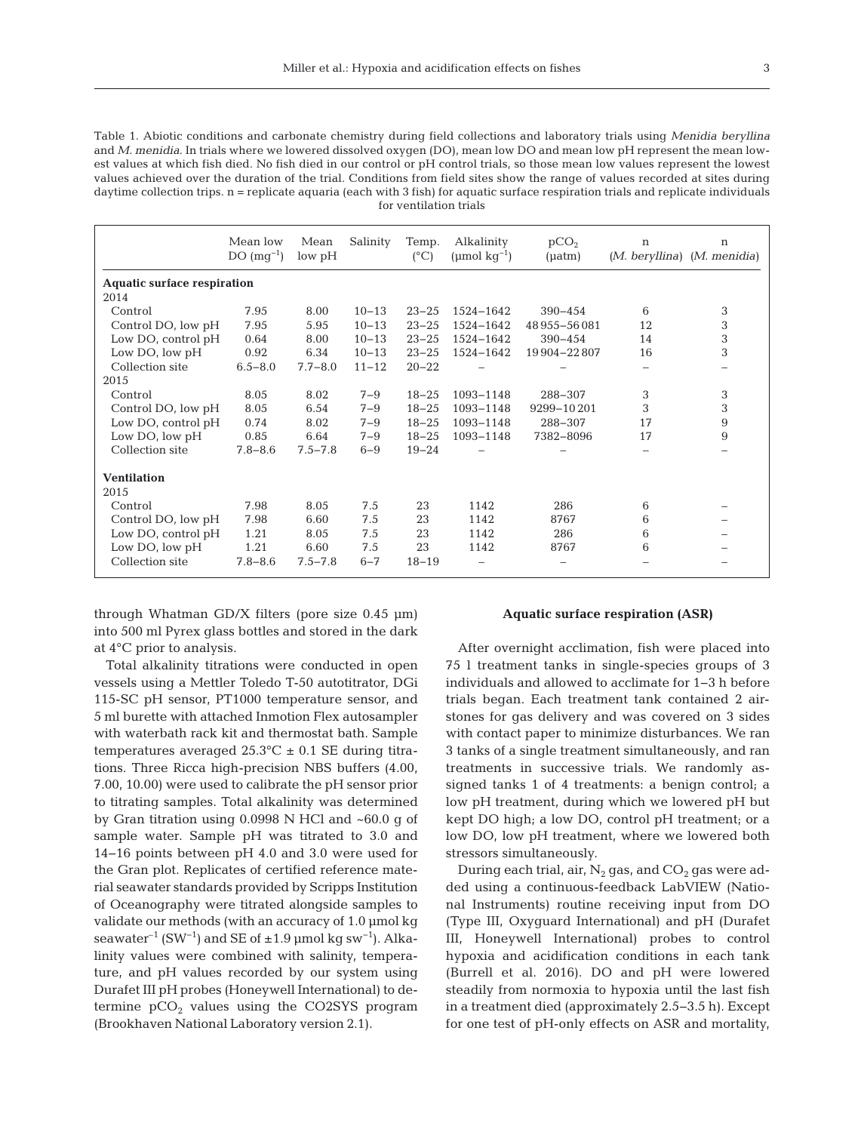|  | ٠      |   |
|--|--------|---|
|  |        |   |
|  | $\sim$ | ł |
|  |        |   |

| Table 1. Abiotic conditions and carbonate chemistry during field collections and laboratory trials using Menidia beryllina          |
|-------------------------------------------------------------------------------------------------------------------------------------|
| and M. menidia. In trials where we lowered dissolved oxygen (DO), mean low DO and mean low pH represent the mean low-               |
| est values at which fish died. No fish died in our control or pH control trials, so those mean low values represent the lowest      |
| values achieved over the duration of the trial. Conditions from field sites show the range of values recorded at sites during       |
| daytime collection trips, n = replicate aguaria (each with 3 fish) for aguatic surface respiration trials and replicate individuals |
| for ventilation trials                                                                                                              |

|                                    | Mean low<br>$DO (mq^{-1})$ | Mean<br>low pH | Salinity  | Temp.<br>$(^{\circ}C)$ | Alkalinity<br>(umol $kq^{-1}$ ) | pCO <sub>2</sub><br>$(\mu atm)$ | $\mathbf n$<br>$(M.$ beryllina) $(M.$ menidia) | $\mathbf n$ |  |
|------------------------------------|----------------------------|----------------|-----------|------------------------|---------------------------------|---------------------------------|------------------------------------------------|-------------|--|
| <b>Aquatic surface respiration</b> |                            |                |           |                        |                                 |                                 |                                                |             |  |
| 2014                               |                            |                |           |                        |                                 |                                 |                                                |             |  |
| Control                            | 7.95                       | 8.00           | $10 - 13$ | $23 - 25$              | 1524-1642                       | $390 - 454$                     | 6                                              | 3           |  |
| Control DO, low pH                 | 7.95                       | 5.95           | $10 - 13$ | $23 - 25$              | 1524-1642                       | 48955-56081                     | 12                                             | 3           |  |
| Low DO, control pH                 | 0.64                       | 8.00           | $10 - 13$ | $23 - 25$              | 1524-1642                       | $390 - 454$                     | 14                                             | 3           |  |
| Low DO, low pH                     | 0.92                       | 6.34           | $10 - 13$ | $23 - 25$              | 1524-1642                       | 19 904 - 22 807                 | 16                                             | 3           |  |
| Collection site                    | $6.5 - 8.0$                | $7.7 - 8.0$    | $11 - 12$ | $20 - 22$              |                                 |                                 |                                                |             |  |
| 2015                               |                            |                |           |                        |                                 |                                 |                                                |             |  |
| Control                            | 8.05                       | 8.02           | $7 - 9$   | $18 - 25$              | 1093-1148                       | 288-307                         | 3                                              | 3           |  |
| Control DO, low pH                 | 8.05                       | 6.54           | $7 - 9$   | $18 - 25$              | 1093-1148                       | 9299-10201                      | 3                                              | 3           |  |
| Low DO, control pH                 | 0.74                       | 8.02           | $7 - 9$   | $18 - 25$              | 1093-1148                       | 288-307                         | 17                                             | 9           |  |
| Low DO, low pH                     | 0.85                       | 6.64           | $7 - 9$   | $18 - 25$              | 1093-1148                       | 7382-8096                       | 17                                             | 9           |  |
| Collection site                    | $7.8 - 8.6$                | $7.5 - 7.8$    | $6 - 9$   | $19 - 24$              |                                 |                                 |                                                |             |  |
| <b>Ventilation</b>                 |                            |                |           |                        |                                 |                                 |                                                |             |  |
| 2015                               |                            |                |           |                        |                                 |                                 |                                                |             |  |
| Control                            | 7.98                       | 8.05           | 7.5       | 23                     | 1142                            | 286                             | 6                                              |             |  |
| Control DO, low pH                 | 7.98                       | 6.60           | 7.5       | 23                     | 1142                            | 8767                            | 6                                              |             |  |
| Low DO, control pH                 | 1.21                       | 8.05           | 7.5       | 23                     | 1142                            | 286                             | 6                                              |             |  |
| Low DO, low pH                     | 1.21                       | 6.60           | 7.5       | 23                     | 1142                            | 8767                            | 6                                              |             |  |
| Collection site                    | $7.8 - 8.6$                | $7.5 - 7.8$    | $6 - 7$   | $18 - 19$              |                                 |                                 |                                                |             |  |

through Whatman GD/X filters (pore size 0.45 µm) into 500 ml Pyrex glass bottles and stored in the dark at 4°C prior to analysis.

Total alkalinity titrations were conducted in open vessels using a Mettler Toledo T-50 autotitrator, DGi 115-SC pH sensor, PT1000 temperature sensor, and 5 ml burette with attached Inmotion Flex autosampler with waterbath rack kit and thermostat bath. Sample temperatures averaged  $25.3^{\circ}$ C  $\pm$  0.1 SE during titrations. Three Ricca high-precision NBS buffers (4.00, 7.00, 10.00) were used to calibrate the pH sensor prior to titrating samples. Total alkalinity was determined by Gran titration using 0.0998 N HCl and ~60.0 g of sample water. Sample pH was titrated to 3.0 and 14−16 points between pH 4.0 and 3.0 were used for the Gran plot. Replicates of certified reference material seawater standards provided by Scripps Institution of Oceanography were titrated alongside samples to validate our methods (with an accuracy of 1.0 µmol kg seawater<sup>-1</sup> (SW<sup>-1</sup>) and SE of ±1.9 µmol kg sw<sup>-1</sup>). Alkalinity values were combined with salinity, temperature, and pH values recorded by our system using Durafet III pH probes (Honeywell International) to determine  $pCO<sub>2</sub>$  values using the CO2SYS program (Brookhaven National Laboratory version 2.1).

## **Aquatic surface respiration (ASR)**

After overnight acclimation, fish were placed into 75 l treatment tanks in single-species groups of 3 individuals and allowed to acclimate for 1−3 h before trials began. Each treatment tank contained 2 airstones for gas delivery and was covered on 3 sides with contact paper to minimize disturbances. We ran 3 tanks of a single treatment simultaneously, and ran treatments in successive trials. We randomly as signed tanks 1 of 4 treatments: a benign control; a low pH treatment, during which we lowered pH but kept DO high; a low DO, control pH treatment; or a low DO, low pH treatment, where we lowered both stressors simultaneously.

During each trial, air,  $N_2$  gas, and  $CO_2$  gas were added using a continuous-feedback LabVIEW (National Instruments) routine receiving input from DO (Type III, Oxyguard International) and pH (Durafet III, Honeywell International) probes to control hypoxia and acidification conditions in each tank (Burrell et al. 2016). DO and pH were lowered steadily from normoxia to hypoxia until the last fish in a treatment died (approximately 2.5−3.5 h). Except for one test of pH-only effects on ASR and mortality,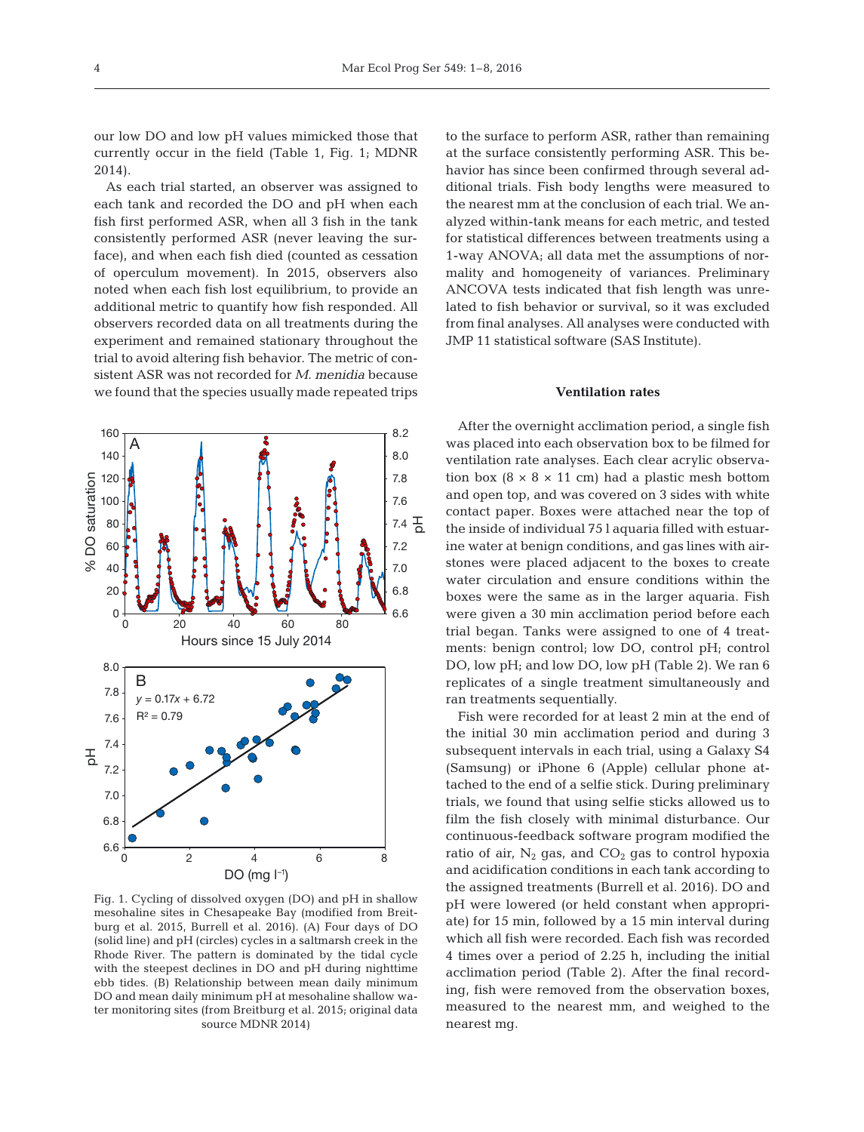our low DO and low pH values mimicked those that currently occur in the field (Table 1, Fig. 1; MDNR 2014).

As each trial started, an observer was assigned to each tank and recorded the DO and pH when each fish first performed ASR, when all 3 fish in the tank consistently performed ASR (never leaving the surface), and when each fish died (counted as cessation of operculum movement). In 2015, observers also noted when each fish lost equilibrium, to provide an additional metric to quantify how fish responded. All observers recorded data on all treatments during the experiment and remained stationary throughout the trial to avoid altering fish behavior. The metric of consistent ASR was not recorded for *M. menidia* because we found that the species usually made repeated trips



Fig. 1. Cycling of dissolved oxygen (DO) and pH in shallow mesohaline sites in Chesapeake Bay (modified from Breitburg et al. 2015, Burrell et al. 2016). (A) Four days of DO (solid line) and pH (circles) cycles in a saltmarsh creek in the Rhode River. The pattern is dominated by the tidal cycle with the steepest declines in DO and pH during nighttime ebb tides. (B) Relationship between mean daily minimum DO and mean daily minimum pH at mesohaline shallow water monitoring sites (from Breitburg et al. 2015; original data source MDNR 2014)

to the surface to perform ASR, rather than remaining at the surface consistently performing ASR. This behavior has since been confirmed through several additional trials. Fish body lengths were measured to the nearest mm at the conclusion of each trial. We analyzed within-tank means for each metric, and tested for statistical differences between treatments using a 1-way ANOVA; all data met the assumptions of normality and homogeneity of variances. Preliminary ANCOVA tests indicated that fish length was unrelated to fish behavior or survival, so it was excluded from final analyses. All analyses were conducted with JMP 11 statistical software (SAS Institute).

#### **Ventilation rates**

After the overnight acclimation period, a single fish was placed into each observation box to be filmed for ventilation rate analyses. Each clear acrylic observation box  $(8 \times 8 \times 11 \text{ cm})$  had a plastic mesh bottom and open top, and was covered on 3 sides with white contact paper. Boxes were attached near the top of the inside of individual 75 l aquaria filled with estuarine water at benign conditions, and gas lines with airstones were placed adjacent to the boxes to create water circulation and ensure conditions within the boxes were the same as in the larger aquaria. Fish were given a 30 min acclimation period before each trial began. Tanks were assigned to one of 4 treatments: benign control; low DO, control pH; control DO, low pH; and low DO, low pH (Table 2). We ran 6 replicates of a single treatment simultaneously and ran treatments sequentially.

Fish were recorded for at least 2 min at the end of the initial 30 min acclimation period and during 3 subsequent intervals in each trial, using a Galaxy S4 (Samsung) or iPhone 6 (Apple) cellular phone at tached to the end of a selfie stick. During preliminary trials, we found that using selfie sticks allowed us to film the fish closely with minimal disturbance. Our continuous-feedback software program modified the ratio of air,  $N_2$  gas, and  $CO_2$  gas to control hypoxia and acidification conditions in each tank according to the assigned treatments (Burrell et al. 2016). DO and pH were lowered (or held constant when appropriate) for 15 min, followed by a 15 min interval during which all fish were recorded. Each fish was recorded 4 times over a period of 2.25 h, including the initial acclimation period (Table 2). After the final recording, fish were removed from the observation boxes, measured to the nearest mm, and weighed to the nearest mg.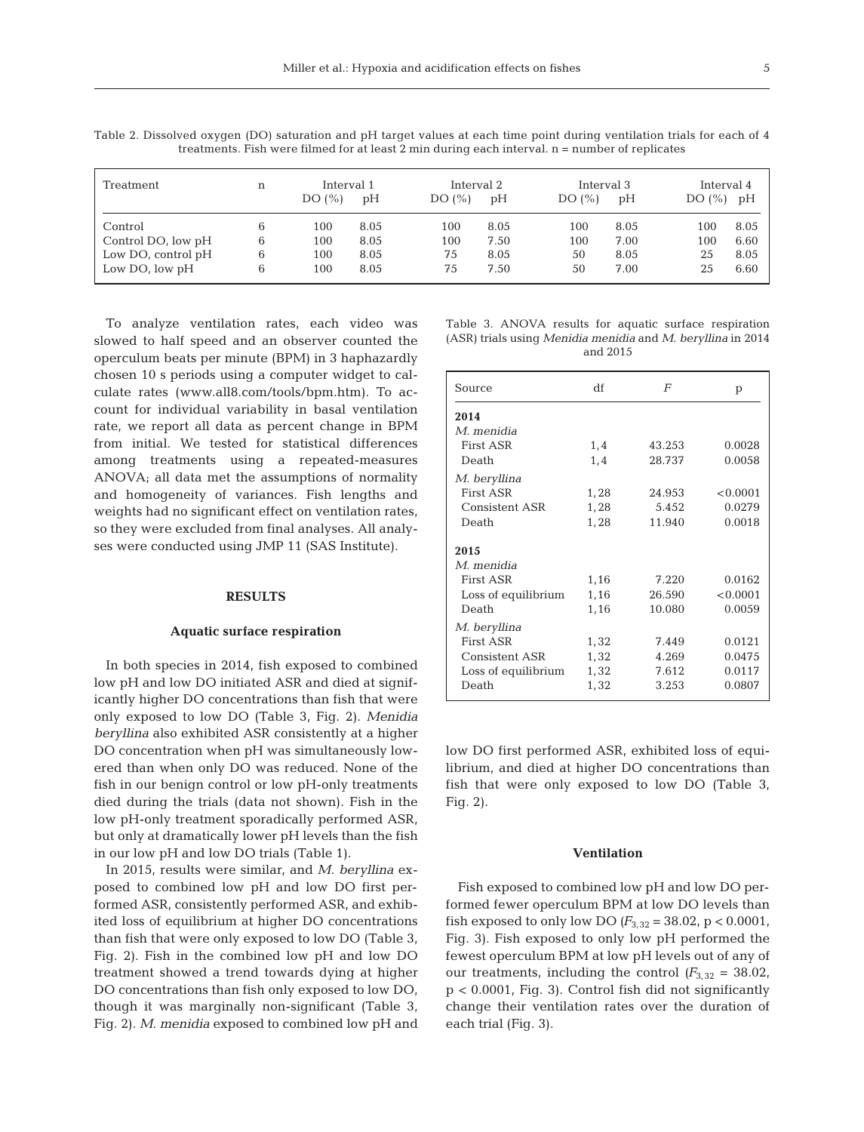| Treatment          | n | Interval 1<br>DO(%) | pH   | Interval 2<br>DO(%) | pH   | Interval 3<br>DO(%) | pH   | Interval 4<br>DO(%) pH |      |
|--------------------|---|---------------------|------|---------------------|------|---------------------|------|------------------------|------|
| Control            | 6 | 100                 | 8.05 | 100                 | 8.05 | 100                 | 8.05 | 100                    | 8.05 |
| Control DO, low pH | 6 | 100                 | 8.05 | 100                 | 7.50 | 100                 | 7.00 | 100                    | 6.60 |
| Low DO, control pH | 6 | 100                 | 8.05 | 75                  | 8.05 | 50                  | 8.05 | 25                     | 8.05 |
| Low DO, low pH     | h | 100                 | 8.05 | 75                  | 7.50 | 50                  | 7.00 | 25                     | 6.60 |

Table 2. Dissolved oxygen (DO) saturation and pH target values at each time point during ventilation trials for each of 4 treatments. Fish were filmed for at least 2 min during each interval. n = number of replicates

To analyze ventilation rates, each video was slowed to half speed and an observer counted the operculum beats per minute (BPM) in 3 haphazardly chosen 10 s periods using a computer widget to calculate rates (www.all8.com/tools/bpm.htm). To ac count for individual variability in basal ventilation rate, we report all data as percent change in BPM from initial. We tested for statistical differences among treatments using a repeated-measures ANOVA; all data met the assumptions of normality and homogeneity of variances. Fish lengths and weights had no significant effect on ventilation rates, so they were excluded from final analyses. All analyses were conducted using JMP 11 (SAS Institute).

## **RESULTS**

#### **Aquatic surface respiration**

In both species in 2014, fish exposed to combined low pH and low DO initiated ASR and died at significantly higher DO concentrations than fish that were only exposed to low DO (Table 3, Fig. 2). *Menidia beryllina* also exhibited ASR consistently at a higher DO concentration when pH was simultaneously lowered than when only DO was reduced. None of the fish in our benign control or low pH-only treatments died during the trials (data not shown). Fish in the low pH-only treatment sporadically performed ASR, but only at dramatically lower pH levels than the fish in our low pH and low DO trials (Table 1).

In 2015, results were similar, and *M. beryllina* exposed to combined low pH and low DO first performed ASR, consistently performed ASR, and exhibited loss of equilibrium at higher DO concentrations than fish that were only exposed to low DO (Table 3, Fig. 2). Fish in the combined low pH and low DO treatment showed a trend towards dying at higher DO concentrations than fish only exposed to low DO, though it was marginally non-significant (Table 3, Fig. 2). *M. menidia* exposed to combined low pH and Table 3. ANOVA results for aquatic surface respiration (ASR) trials using *Menidia menidia* and *M. beryllina* in 2014 and 2015

| Source              | df   | F      | p        |
|---------------------|------|--------|----------|
| 2014                |      |        |          |
| M. menidia          |      |        |          |
| First ASR           | 1,4  | 43.253 | 0.0028   |
| Death               | 1,4  | 28.737 | 0.0058   |
| M. beryllina        |      |        |          |
| First ASR           | 1,28 | 24.953 | < 0.0001 |
| Consistent ASR      | 1,28 | 5.452  | 0.0279   |
| Death               | 1,28 | 11.940 | 0.0018   |
| 2015                |      |        |          |
| M. menidia          |      |        |          |
| First ASR           | 1,16 | 7.220  | 0.0162   |
| Loss of equilibrium | 1,16 | 26.590 | < 0.0001 |
| Death               | 1,16 | 10.080 | 0.0059   |
| M. beryllina        |      |        |          |
| First ASR           | 1,32 | 7.449  | 0.0121   |
| Consistent ASR      | 1,32 | 4.269  | 0.0475   |
| Loss of equilibrium | 1,32 | 7.612  | 0.0117   |
| Death               | 1,32 | 3.253  | 0.0807   |

low DO first performed ASR, exhibited loss of equilibrium, and died at higher DO concentrations than fish that were only exposed to low DO (Table 3, Fig. 2).

#### **Ventilation**

Fish exposed to combined low pH and low DO performed fewer operculum BPM at low DO levels than fish exposed to only low DO  $(F_{3,32} = 38.02, p < 0.0001,$ Fig. 3). Fish exposed to only low pH performed the fewest operculum BPM at low pH levels out of any of our treatments, including the control  $(F_{3,32} = 38.02,$ p < 0.0001, Fig. 3). Control fish did not significantly change their ventilation rates over the duration of each trial (Fig. 3).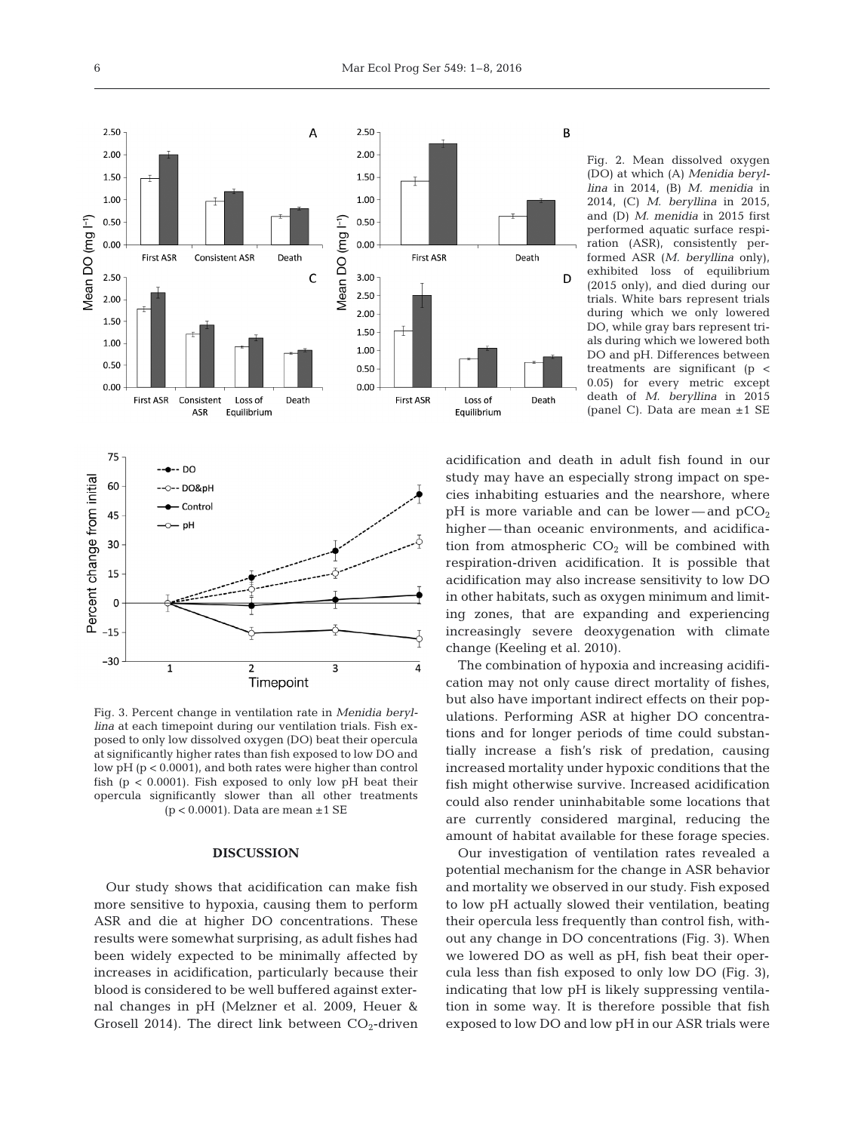

Fig. 3. Percent change in ventilation rate in *Menidia beryllina* at each timepoint during our ventilation trials. Fish exposed to only low dissolved oxygen (DO) beat their opercula at significantly higher rates than fish exposed to low DO and low pH (p < 0.0001), and both rates were higher than control fish ( $p < 0.0001$ ). Fish exposed to only low  $pH$  beat their opercula significantly slower than all other treatments  $(p < 0.0001)$ . Data are mean  $\pm 1$  SE

## **DISCUSSION**

Our study shows that acidification can make fish more sensitive to hypoxia, causing them to perform ASR and die at higher DO concentrations. These results were somewhat surprising, as adult fishes had been widely expected to be minimally affected by increases in acidification, particularly because their blood is considered to be well buffered against external changes in pH (Melzner et al. 2009, Heuer & Grosell 2014). The direct link between  $CO<sub>2</sub>$ -driven Fig. 2. Mean dissolved oxygen (DO) at which (A) *Menidia beryllina* in 2014, (B) *M. menidia* in 2014, (C) *M. beryllina* in 2015, and (D) *M. menidia* in 2015 first performed aquatic surface respiration (ASR), consistently performed ASR (*M. beryllina* only), exhibited loss of equilibrium (2015 only), and died during our trials. White bars represent trials during which we only lowered DO, while gray bars represent trials during which we lowered both DO and pH. Differences between treatments are significant (p < 0.05) for every metric except death of *M. beryllina* in 2015 (panel C). Data are mean ±1 SE

acidification and death in adult fish found in our study may have an especially strong impact on species inhabiting estuaries and the nearshore, where  $pH$  is more variable and can be lower—and  $pCO<sub>2</sub>$ higher — than oceanic environments, and acidification from atmospheric  $CO<sub>2</sub>$  will be combined with respiration-driven acidification. It is possible that acidification may also increase sensitivity to low DO in other habitats, such as oxygen minimum and limiting zones, that are expanding and experiencing increasingly severe deoxygenation with climate change (Keeling et al. 2010).

B

D

Death

Death

The combination of hypoxia and increasing acidification may not only cause direct mortality of fishes, but also have important indirect effects on their populations. Performing ASR at higher DO concentrations and for longer periods of time could substantially increase a fish's risk of predation, causing increased mortality under hypoxic conditions that the fish might otherwise survive. Increased acidification could also render uninhabitable some locations that are currently considered marginal, reducing the amount of habitat available for these forage species.

Our investigation of ventilation rates revealed a potential mechanism for the change in ASR behavior and mortality we observed in our study. Fish exposed to low pH actually slowed their ventilation, beating their opercula less frequently than control fish, without any change in DO concentrations (Fig. 3). When we lowered DO as well as pH, fish beat their opercula less than fish exposed to only low DO (Fig. 3), indicating that low pH is likely suppressing ventilation in some way. It is therefore possible that fish exposed to low DO and low pH in our ASR trials were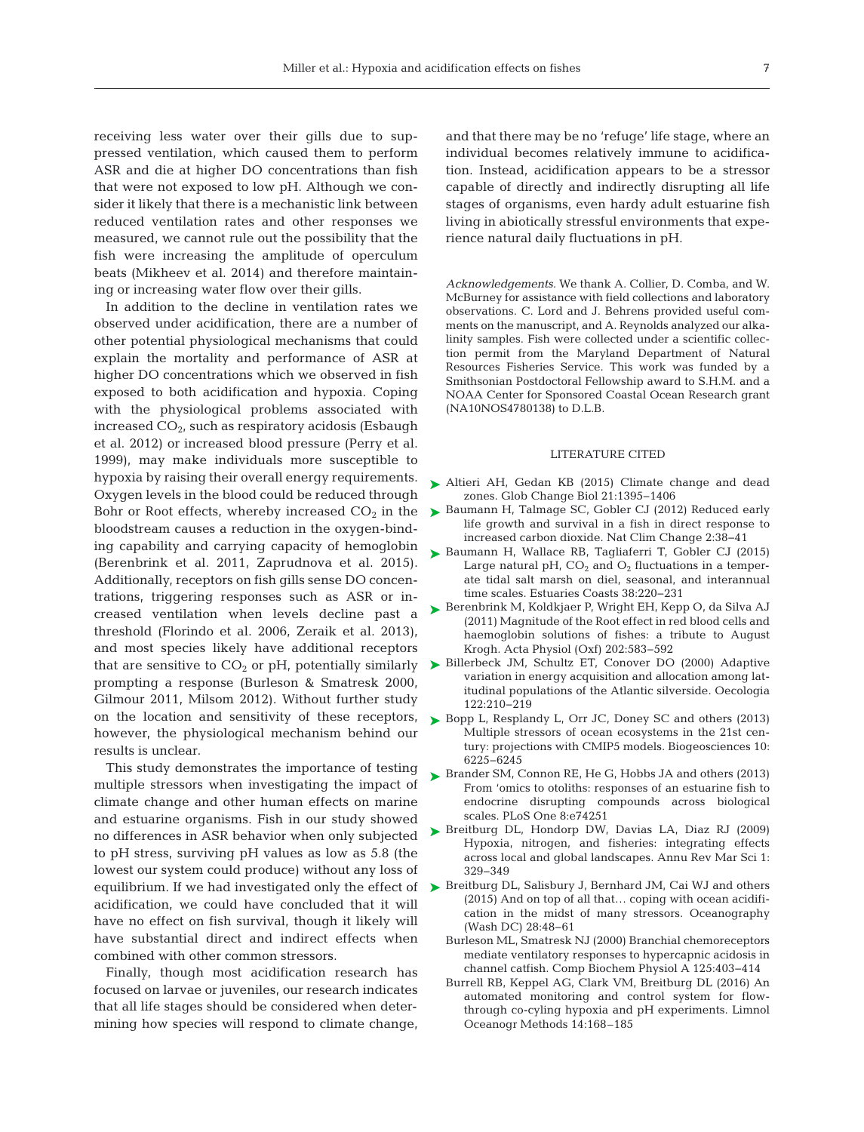receiving less water over their gills due to suppressed ventilation, which caused them to perform ASR and die at higher DO concentrations than fish that were not exposed to low pH. Although we consider it likely that there is a mechanistic link between reduced ventilation rates and other responses we measured, we cannot rule out the possibility that the fish were increasing the amplitude of operculum beats (Mikheev et al. 2014) and therefore maintaining or increasing water flow over their gills.

In addition to the decline in ventilation rates we observed under acidification, there are a number of other potential physiological mechanisms that could ex plain the mortality and performance of ASR at higher DO concentrations which we observed in fish ex posed to both acidification and hypoxia. Coping with the physiological problems associated with increased  $CO<sub>2</sub>$ , such as respiratory acidosis (Esbaugh et al. 2012) or increased blood pressure (Perry et al. 1999), may make individuals more susceptible to hypoxia by raising their overall energy requirements. Oxygen levels in the blood could be reduced through Bohr or Root effects, whereby increased  $CO<sub>2</sub>$  in the bloodstream causes a reduction in the oxygen-binding capability and carrying capacity of hemoglobin (Berenbrink et al. 2011, Zaprudnova et al. 2015). Additionally, receptors on fish gills sense DO concentrations, triggering responses such as ASR or in creased ventilation when levels decline past a threshold (Florindo et al. 2006, Zeraik et al. 2013), and most species likely have additional receptors that are sensitive to  $CO<sub>2</sub>$  or pH, potentially similarly prompting a response (Burleson & Smatresk 2000, Gilmour 2011, Milsom 2012). Without further study on the location and sensitivity of these receptors, however, the physiological mechanism behind our results is unclear.

This study demonstrates the importance of testing multiple stressors when investigating the impact of climate change and other human effects on marine and estuarine organisms. Fish in our study showed no differences in ASR behavior when only subjected to pH stress, surviving pH values as low as 5.8 (the lowest our system could produce) without any loss of acidification, we could have concluded that it will have no effect on fish survival, though it likely will have substantial direct and indirect effects when combined with other common stressors.

Finally, though most acidification research has focused on larvae or juveniles, our research indicates that all life stages should be considered when determining how species will respond to climate change,

and that there may be no 'refuge' life stage, where an individual becomes relatively immune to acidification. Instead, acidification appears to be a stressor capable of directly and indirectly disrupting all life stages of organisms, even hardy adult estuarine fish living in abiotically stressful environments that experience natural daily fluctuations in pH.

*Acknowledgements.* We thank A. Collier, D. Comba, and W. McBurney for assistance with field collections and laboratory observations. C. Lord and J. Behrens provided useful comments on the manuscript, and A. Reynolds analyzed our alkalinity samples. Fish were collected under a scientific collection permit from the Maryland Department of Natural Resources Fisheries Service. This work was funded by a Smithsonian Postdoctoral Fellowship award to S.H.M. and a NOAA Center for Sponsored Coastal Ocean Research grant (NA10NOS4780138) to D.L.B.

#### LITERATURE CITED

- ▶ [Altieri AH, Gedan KB \(2015\) Climate change and dead](http://dx.doi.org/10.1111/gcb.12754) zones. Glob Change Biol 21: 1395−1406
- ► [Baumann H, Talmage SC, Gobler CJ \(2012\) Reduced early](http://dx.doi.org/10.1038/nclimate1291) life growth and survival in a fish in direct response to increased carbon dioxide. Nat Clim Change 2: 38−41
- [Baumann H, Wallace RB, Tagliaferri T, Gobler CJ \(2015\)](http://dx.doi.org/10.1007/s12237-014-9800-y) ➤ Large natural pH,  $CO<sub>2</sub>$  and  $O<sub>2</sub>$  fluctuations in a temperate tidal salt marsh on diel, seasonal, and interannual time scales. Estuaries Coasts 38: 220−231
- [Berenbrink M, Koldkjaer P, Wright EH, Kepp O, da Silva AJ](http://dx.doi.org/10.1111/j.1748-1716.2010.02243.x) ➤ (2011) Magnitude of the Root effect in red blood cells and haemoglobin solutions of fishes: a tribute to August Krogh. Acta Physiol (Oxf) 202:583-592
- ▶ [Billerbeck JM, Schultz ET, Conover DO \(2000\) Adaptive](http://dx.doi.org/10.1007/PL00008848) variation in energy acquisition and allocation among latitudinal populations of the Atlantic silverside. Oecologia 122:210−219
- ► [Bopp L, Resplandy L, Orr JC, Doney SC and others \(2013\)](http://dx.doi.org/10.5194/bg-10-6225-2013) Multiple stressors of ocean ecosystems in the 21st century: projections with CMIP5 models. Biogeosciences 10: 6225−6245
- ▶ [Brander SM, Connon RE, He G, Hobbs JA and others \(2013\)](http://dx.doi.org/10.1371/journal.pone.0074251) From 'omics to otoliths: responses of an estuarine fish to endocrine disrupting compounds across biological scales. PLoS One 8:e74251
- ▶ [Breitburg DL, Hondorp DW, Davias LA, Diaz RJ \(2009\)](http://dx.doi.org/10.1146/annurev.marine.010908.163754) Hypoxia, nitrogen, and fisheries: integrating effects across local and global landscapes. Annu Rev Mar Sci 1: 329−349
- equilibrium. If we had investigated only the effect of  $\triangleright$  [Breitburg DL, Salisbury J, Bernhard JM, Cai WJ and others](http://dx.doi.org/10.1002/lom3.10077) (2015) And on top of all that… coping with ocean acidification in the midst of many stressors. Oceanography (Wash DC) 28:48-61
	- Burleson ML, Smatresk NJ (2000) Branchial chemoreceptors mediate ventilatory responses to hypercapnic acidosis in channel catfish. Comp Biochem Physiol A 125: 403−414
	- Burrell RB, Keppel AG, Clark VM, Breitburg DL (2016) An automated monitoring and control system for flowthrough co-cyling hypoxia and pH experiments. Limnol Oceanogr Methods 14:168–185